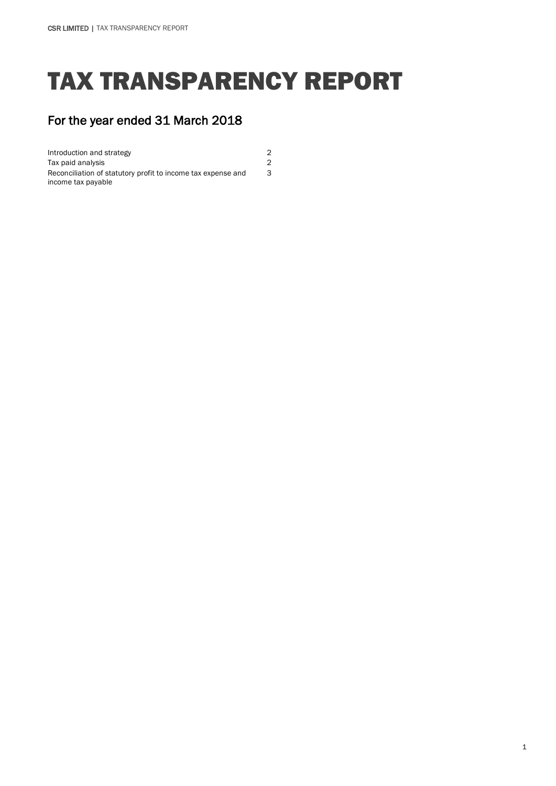# TAX TRANSPARENCY REPORT

3

## For the year ended 31 March 2018

Introduction and strategy 2 Tax paid analysis 2 Reconciliation of statutory profit to income tax expense and income tax payable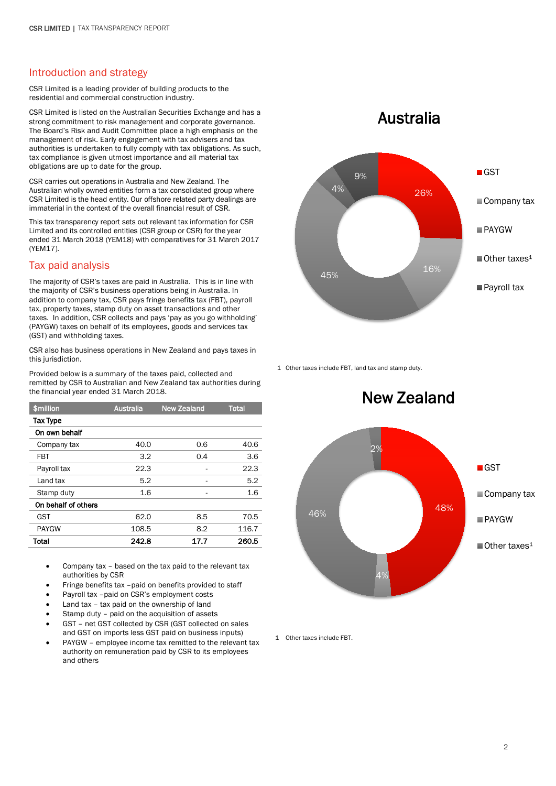### Introduction and strategy

CSR Limited is a leading provider of building products to the residential and commercial construction industry.

CSR Limited is listed on the Australian Securities Exchange and has a strong commitment to risk management and corporate governance. The Board's Risk and Audit Committee place a high emphasis on the management of risk. Early engagement with tax advisers and tax authorities is undertaken to fully comply with tax obligations. As such, tax compliance is given utmost importance and all material tax obligations are up to date for the group.

CSR carries out operations in Australia and New Zealand. The Australian wholly owned entities form a tax consolidated group where CSR Limited is the head entity. Our offshore related party dealings are immaterial in the context of the overall financial result of CSR.

This tax transparency report sets out relevant tax information for CSR Limited and its controlled entities (CSR group or CSR) for the year ended 31 March 2018 (YEM18) with comparatives for 31 March 2017 (YEM17).

### Tax paid analysis

The majority of CSR's taxes are paid in Australia. This is in line with the majority of CSR's business operations being in Australia. In addition to company tax, CSR pays fringe benefits tax (FBT), payroll tax, property taxes, stamp duty on asset transactions and other taxes. In addition, CSR collects and pays 'pay as you go withholding' (PAYGW) taxes on behalf of its employees, goods and services tax (GST) and withholding taxes.

CSR also has business operations in New Zealand and pays taxes in this jurisdiction.

Provided below is a summary of the taxes paid, collected and remitted by CSR to Australian and New Zealand tax authorities during the financial year ended 31 March 2018.

| \$million           | <b>Australia</b> | <b>New Zealand</b> | <b>Total</b> |
|---------------------|------------------|--------------------|--------------|
| <b>Tax Type</b>     |                  |                    |              |
| On own behalf       |                  |                    |              |
| Company tax         | 40.0             | 0.6                | 40.6         |
| FBT                 | 3.2              | 0.4                | 3.6          |
| Payroll tax         | 22.3             |                    | 22.3         |
| Land tax            | 5.2              |                    | 5.2          |
| Stamp duty          | 1.6              |                    | 1.6          |
| On behalf of others |                  |                    |              |
| GST                 | 62.0             | 8.5                | 70.5         |
| <b>PAYGW</b>        | 108.5            | 8.2                | 116.7        |
| Total               | 242.8            | 17.7               | 260.5        |

• Company tax – based on the tax paid to the relevant tax authorities by CSR

- Fringe benefits tax -paid on benefits provided to staff
- Payroll tax -paid on CSR's employment costs
- Land tax tax paid on the ownership of land
- Stamp duty paid on the acquisition of assets • GST – net GST collected by CSR (GST collected on sales and GST on imports less GST paid on business inputs)
- PAYGW employee income tax remitted to the relevant tax authority on remuneration paid by CSR to its employees and others

# Australia



1 Other taxes include FBT, land tax and stamp duty.



1 Other taxes include FBT.